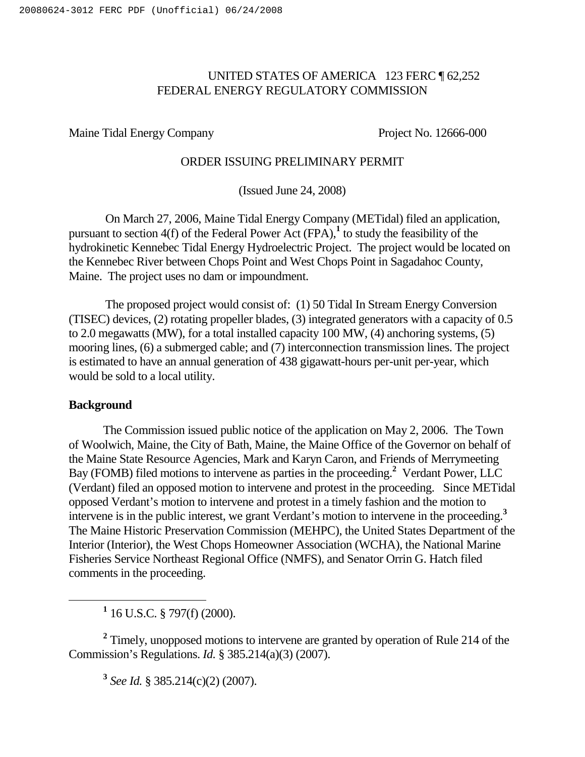# UNITED STATES OF AMERICA 123 FERC ¶ 62,252 FEDERAL ENERGY REGULATORY COMMISSION

Maine Tidal Energy Company Project No. 12666-000

### ORDER ISSUING PRELIMINARY PERMIT

(Issued June 24, 2008)

On March 27, 2006, Maine Tidal Energy Company (METidal) filed an application, pursuant to section  $4(f)$  of the Federal Power Act (FPA),<sup>1</sup> to study the feasibility of the hydrokinetic Kennebec Tidal Energy Hydroelectric Project. The project would be located on the Kennebec River between Chops Point and West Chops Point in Sagadahoc County, Maine. The project uses no dam or impoundment.

The proposed project would consist of: (1) 50 Tidal In Stream Energy Conversion (TISEC) devices, (2) rotating propeller blades, (3) integrated generators with a capacity of 0.5 to 2.0 megawatts (MW), for a total installed capacity 100 MW, (4) anchoring systems, (5) mooring lines, (6) a submerged cable; and (7) interconnection transmission lines. The project is estimated to have an annual generation of 438 gigawatt-hours per-unit per-year, which would be sold to a local utility.

### **Background**

The Commission issued public notice of the application on May 2, 2006. The Town of Woolwich, Maine, the City of Bath, Maine, the Maine Office of the Governor on behalf of the Maine State Resource Agencies, Mark and Karyn Caron, and Friends of Merrymeeting Bay (FOMB) filed motions to intervene as parties in the proceeding. **<sup>2</sup>** Verdant Power, LLC (Verdant) filed an opposed motion to intervene and protest in the proceeding. Since METidal opposed Verdant's motion to intervene and protest in a timely fashion and the motion to intervene is in the public interest, we grant Verdant's motion to intervene in the proceeding.<sup>3</sup> The Maine Historic Preservation Commission (MEHPC), the United States Department of the Interior (Interior), the West Chops Homeowner Association (WCHA), the National Marine Fisheries Service Northeast Regional Office (NMFS), and Senator Orrin G. Hatch filed comments in the proceeding.

**<sup>1</sup>** 16 U.S.C. § 797(f) (2000).

**<sup>2</sup>** Timely, unopposed motions to intervene are granted by operation of Rule 214 of the Commission's Regulations. *Id.* § 385.214(a)(3) (2007).

**<sup>3</sup>** *See Id.* § 385.214(c)(2) (2007).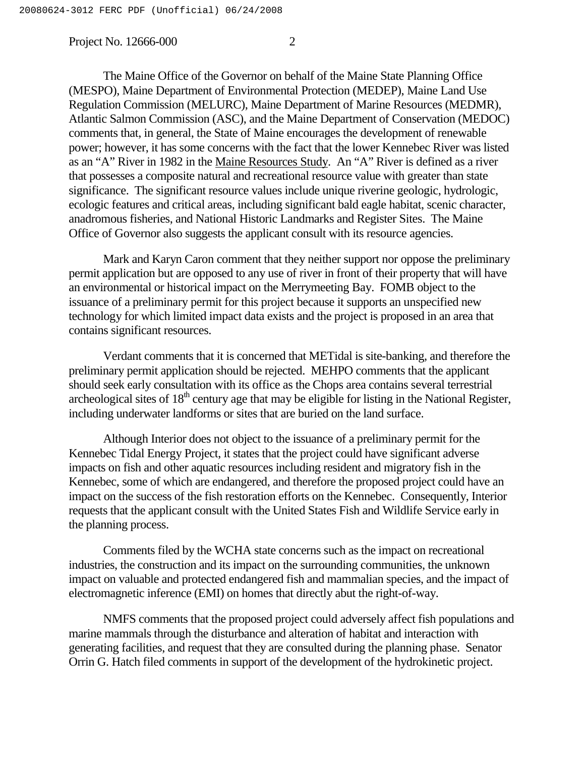The Maine Office of the Governor on behalf of the Maine State Planning Office (MESPO), Maine Department of Environmental Protection (MEDEP), Maine Land Use Regulation Commission (MELURC), Maine Department of Marine Resources (MEDMR), Atlantic Salmon Commission (ASC), and the Maine Department of Conservation (MEDOC) comments that, in general, the State of Maine encourages the development of renewable power; however, it has some concerns with the fact that the lower Kennebec River was listed as an "A" River in 1982 in the Maine Resources Study. An "A" River is defined as a river that possesses a composite natural and recreational resource value with greater than state significance. The significant resource values include unique riverine geologic, hydrologic, ecologic features and critical areas, including significant bald eagle habitat, scenic character, anadromous fisheries, and National Historic Landmarks and Register Sites. The Maine Office of Governor also suggests the applicant consult with its resource agencies.

Mark and Karyn Caron comment that they neither support nor oppose the preliminary permit application but are opposed to any use of river in front of their property that will have an environmental or historical impact on the Merrymeeting Bay. FOMB object to the issuance of a preliminary permit for this project because it supports an unspecified new technology for which limited impact data exists and the project is proposed in an area that contains significant resources.

Verdant comments that it is concerned that METidal is site-banking, and therefore the preliminary permit application should be rejected. MEHPO comments that the applicant should seek early consultation with its office as the Chops area contains several terrestrial archeological sites of  $18<sup>th</sup>$  century age that may be eligible for listing in the National Register, including underwater landforms or sites that are buried on the land surface.

Although Interior does not object to the issuance of a preliminary permit for the Kennebec Tidal Energy Project, it states that the project could have significant adverse impacts on fish and other aquatic resources including resident and migratory fish in the Kennebec, some of which are endangered, and therefore the proposed project could have an impact on the success of the fish restoration efforts on the Kennebec. Consequently, Interior requests that the applicant consult with the United States Fish and Wildlife Service early in the planning process.

Comments filed by the WCHA state concerns such as the impact on recreational industries, the construction and its impact on the surrounding communities, the unknown impact on valuable and protected endangered fish and mammalian species, and the impact of electromagnetic inference (EMI) on homes that directly abut the right-of-way.

NMFS comments that the proposed project could adversely affect fish populations and marine mammals through the disturbance and alteration of habitat and interaction with generating facilities, and request that they are consulted during the planning phase. Senator Orrin G. Hatch filed comments in support of the development of the hydrokinetic project.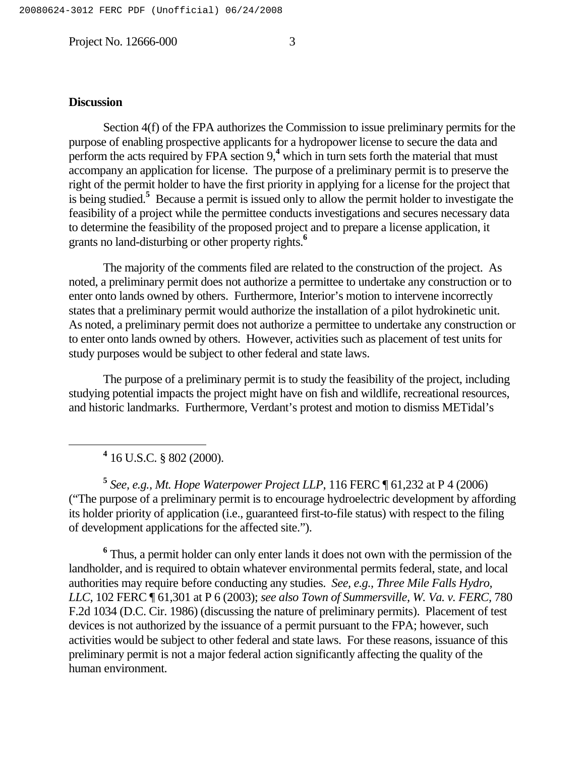### **Discussion**

Section 4(f) of the FPA authorizes the Commission to issue preliminary permits for the purpose of enabling prospective applicants for a hydropower license to secure the data and perform the acts required by FPA section 9,<sup>4</sup> which in turn sets forth the material that must accompany an application for license. The purpose of a preliminary permit is to preserve the right of the permit holder to have the first priority in applying for a license for the project that is being studied. **<sup>5</sup>** Because a permit is issued only to allow the permit holder to investigate the feasibility of a project while the permittee conducts investigations and secures necessary data to determine the feasibility of the proposed project and to prepare a license application, it grants no land-disturbing or other property rights. **6**

The majority of the comments filed are related to the construction of the project. As noted, a preliminary permit does not authorize a permittee to undertake any construction or to enter onto lands owned by others. Furthermore, Interior's motion to intervene incorrectly states that a preliminary permit would authorize the installation of a pilot hydrokinetic unit. As noted, a preliminary permit does not authorize a permittee to undertake any construction or to enter onto lands owned by others. However, activities such as placement of test units for study purposes would be subject to other federal and state laws.

The purpose of a preliminary permit is to study the feasibility of the project, including studying potential impacts the project might have on fish and wildlife, recreational resources, and historic landmarks. Furthermore, Verdant's protest and motion to dismiss METidal's

**<sup>4</sup>** 16 U.S.C. § 802 (2000).

**<sup>5</sup>** *See, e.g., Mt. Hope Waterpower Project LLP*, 116 FERC ¶ 61,232 at P 4 (2006) ("The purpose of a preliminary permit is to encourage hydroelectric development by affording its holder priority of application (i.e., guaranteed first-to-file status) with respect to the filing of development applications for the affected site.").

**<sup>6</sup>** Thus, a permit holder can only enter lands it does not own with the permission of the landholder, and is required to obtain whatever environmental permits federal, state, and local authorities may require before conducting any studies. *See, e.g., Three Mile Falls Hydro, LLC*, 102 FERC ¶ 61,301 at P 6 (2003); *see also Town of Summersville, W. Va. v. FERC,* 780 F.2d 1034 (D.C. Cir. 1986) (discussing the nature of preliminary permits). Placement of test devices is not authorized by the issuance of a permit pursuant to the FPA; however, such activities would be subject to other federal and state laws. For these reasons, issuance of this preliminary permit is not a major federal action significantly affecting the quality of the human environment.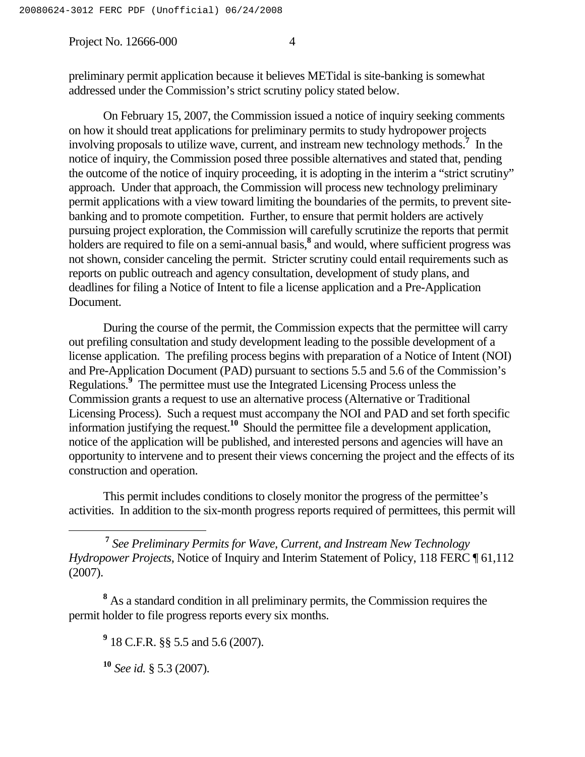preliminary permit application because it believes METidal is site-banking is somewhat addressed under the Commission's strict scrutiny policy stated below.

On February 15, 2007, the Commission issued a notice of inquiry seeking comments on how it should treat applications for preliminary permits to study hydropower projects involving proposals to utilize wave, current, and instream new technology methods. **<sup>7</sup>** In the notice of inquiry, the Commission posed three possible alternatives and stated that, pending the outcome of the notice of inquiry proceeding, it is adopting in the interim a "strict scrutiny" approach. Under that approach, the Commission will process new technology preliminary permit applications with a view toward limiting the boundaries of the permits, to prevent sitebanking and to promote competition. Further, to ensure that permit holders are actively pursuing project exploration, the Commission will carefully scrutinize the reports that permit holders are required to file on a semi-annual basis,<sup>8</sup> and would, where sufficient progress was not shown, consider canceling the permit. Stricter scrutiny could entail requirements such as reports on public outreach and agency consultation, development of study plans, and deadlines for filing a Notice of Intent to file a license application and a Pre-Application Document.

During the course of the permit, the Commission expects that the permittee will carry out prefiling consultation and study development leading to the possible development of a license application. The prefiling process begins with preparation of a Notice of Intent (NOI) and Pre-Application Document (PAD) pursuant to sections 5.5 and 5.6 of the Commission's Regulations. **<sup>9</sup>** The permittee must use the Integrated Licensing Process unless the Commission grants a request to use an alternative process (Alternative or Traditional Licensing Process). Such a request must accompany the NOI and PAD and set forth specific information justifying the request. **<sup>10</sup>** Should the permittee file a development application, notice of the application will be published, and interested persons and agencies will have an opportunity to intervene and to present their views concerning the project and the effects of its construction and operation.

This permit includes conditions to closely monitor the progress of the permittee's activities. In addition to the six-month progress reports required of permittees, this permit will

**<sup>7</sup>** *See Preliminary Permits for Wave, Current, and Instream New Technology Hydropower Projects*, Notice of Inquiry and Interim Statement of Policy, 118 FERC ¶ 61,112 (2007).

**<sup>8</sup>** As a standard condition in all preliminary permits, the Commission requires the permit holder to file progress reports every six months.

**<sup>9</sup>** 18 C.F.R. §§ 5.5 and 5.6 (2007).

**<sup>10</sup>** *See id.* § 5.3 (2007).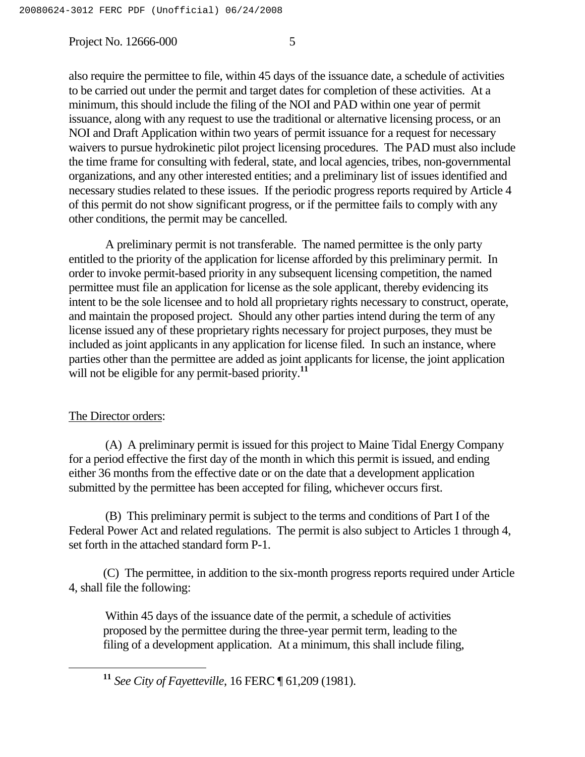also require the permittee to file, within 45 days of the issuance date, a schedule of activities to be carried out under the permit and target dates for completion of these activities. At a minimum, this should include the filing of the NOI and PAD within one year of permit issuance, along with any request to use the traditional or alternative licensing process, or an NOI and Draft Application within two years of permit issuance for a request for necessary waivers to pursue hydrokinetic pilot project licensing procedures. The PAD must also include the time frame for consulting with federal, state, and local agencies, tribes, non-governmental organizations, and any other interested entities; and a preliminary list of issues identified and necessary studies related to these issues. If the periodic progress reports required by Article 4 of this permit do not show significant progress, or if the permittee fails to comply with any other conditions, the permit may be cancelled.

A preliminary permit is not transferable. The named permittee is the only party entitled to the priority of the application for license afforded by this preliminary permit. In order to invoke permit-based priority in any subsequent licensing competition, the named permittee must file an application for license as the sole applicant, thereby evidencing its intent to be the sole licensee and to hold all proprietary rights necessary to construct, operate, and maintain the proposed project. Should any other parties intend during the term of any license issued any of these proprietary rights necessary for project purposes, they must be included as joint applicants in any application for license filed. In such an instance, where parties other than the permittee are added as joint applicants for license, the joint application will not be eligible for any permit-based priority. **11**

### The Director orders:

(A) A preliminary permit is issued for this project to Maine Tidal Energy Company for a period effective the first day of the month in which this permit is issued, and ending either 36 months from the effective date or on the date that a development application submitted by the permittee has been accepted for filing, whichever occurs first.

(B) This preliminary permit is subject to the terms and conditions of Part I of the Federal Power Act and related regulations. The permit is also subject to Articles 1 through 4, set forth in the attached standard form P-1.

(C) The permittee, in addition to the six-month progress reports required under Article 4, shall file the following:

Within 45 days of the issuance date of the permit, a schedule of activities proposed by the permittee during the three-year permit term, leading to the filing of a development application. At a minimum, this shall include filing,

**<sup>11</sup>** *See City of Fayetteville*, 16 FERC ¶ 61,209 (1981).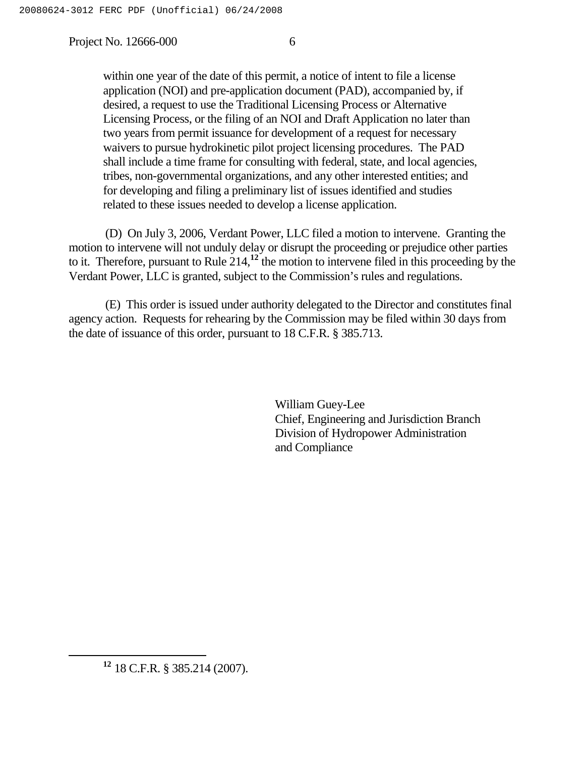within one year of the date of this permit, a notice of intent to file a license application (NOI) and pre-application document (PAD), accompanied by, if desired, a request to use the Traditional Licensing Process or Alternative Licensing Process, or the filing of an NOI and Draft Application no later than two years from permit issuance for development of a request for necessary waivers to pursue hydrokinetic pilot project licensing procedures. The PAD shall include a time frame for consulting with federal, state, and local agencies, tribes, non-governmental organizations, and any other interested entities; and for developing and filing a preliminary list of issues identified and studies related to these issues needed to develop a license application.

(D) On July 3, 2006, Verdant Power, LLC filed a motion to intervene. Granting the motion to intervene will not unduly delay or disrupt the proceeding or prejudice other parties to it. Therefore, pursuant to Rule 214, **<sup>12</sup>** the motion to intervene filed in this proceeding by the Verdant Power, LLC is granted, subject to the Commission's rules and regulations.

(E) This order is issued under authority delegated to the Director and constitutes final agency action. Requests for rehearing by the Commission may be filed within 30 days from the date of issuance of this order, pursuant to 18 C.F.R. § 385.713.

> William Guey-Lee Chief, Engineering and Jurisdiction Branch Division of Hydropower Administration and Compliance

**<sup>12</sup>** 18 C.F.R. § 385.214 (2007).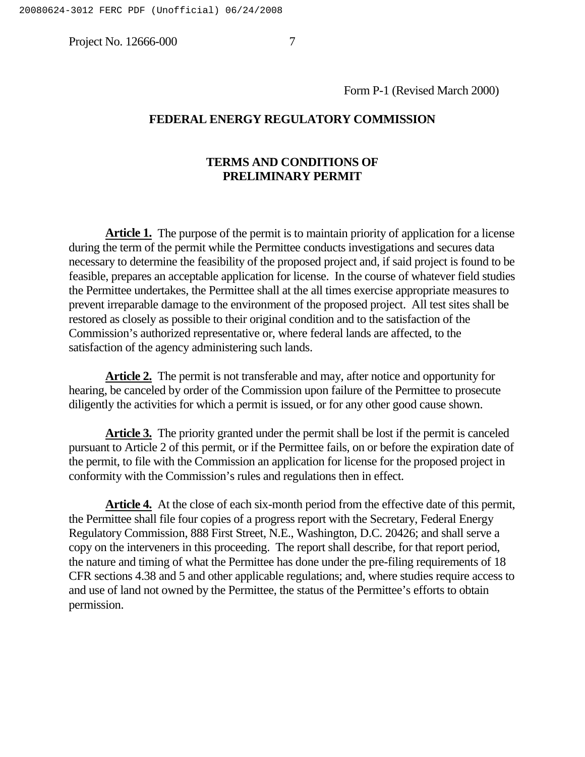Form P-1 (Revised March 2000)

#### **FEDERAL ENERGY REGULATORY COMMISSION**

## **TERMS AND CONDITIONS OF PRELIMINARY PERMIT**

**Article 1.** The purpose of the permit is to maintain priority of application for a license during the term of the permit while the Permittee conducts investigations and secures data necessary to determine the feasibility of the proposed project and, if said project is found to be feasible, prepares an acceptable application for license. In the course of whatever field studies the Permittee undertakes, the Permittee shall at the all times exercise appropriate measures to prevent irreparable damage to the environment of the proposed project. All test sites shall be restored as closely as possible to their original condition and to the satisfaction of the Commission's authorized representative or, where federal lands are affected, to the satisfaction of the agency administering such lands.

**Article 2.** The permit is not transferable and may, after notice and opportunity for hearing, be canceled by order of the Commission upon failure of the Permittee to prosecute diligently the activities for which a permit is issued, or for any other good cause shown.

**Article 3.** The priority granted under the permit shall be lost if the permit is canceled pursuant to Article 2 of this permit, or if the Permittee fails, on or before the expiration date of the permit, to file with the Commission an application for license for the proposed project in conformity with the Commission's rules and regulations then in effect.

**Article 4.** At the close of each six-month period from the effective date of this permit, the Permittee shall file four copies of a progress report with the Secretary, Federal Energy Regulatory Commission, 888 First Street, N.E., Washington, D.C. 20426; and shall serve a copy on the interveners in this proceeding. The report shall describe, for that report period, the nature and timing of what the Permittee has done under the pre-filing requirements of 18 CFR sections 4.38 and 5 and other applicable regulations; and, where studies require access to and use of land not owned by the Permittee, the status of the Permittee's efforts to obtain permission.